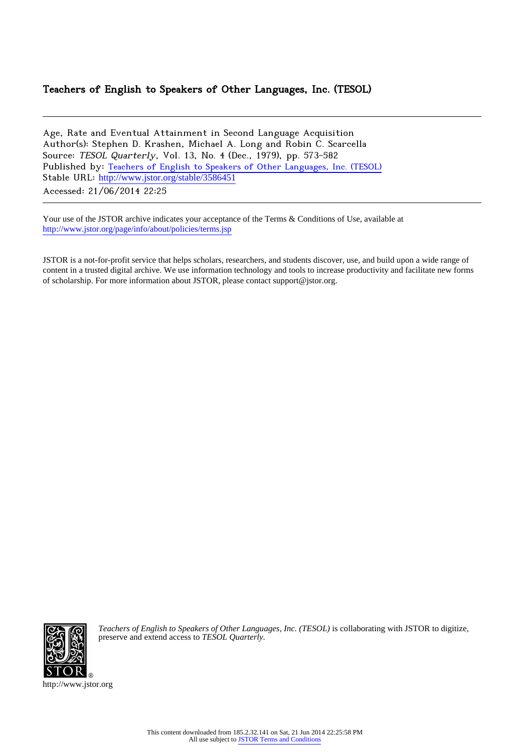### Teachers of English to Speakers of Other Languages, Inc. (TESOL)

Age, Rate and Eventual Attainment in Second Language Acquisition Author(s): Stephen D. Krashen, Michael A. Long and Robin C. Scarcella Source: TESOL Quarterly, Vol. 13, No. 4 (Dec., 1979), pp. 573-582 Published by: [Teachers of English to Speakers of Other Languages, Inc. \(TESOL\)](http://www.jstor.org/action/showPublisher?publisherCode=tesol) Stable URL: [http://www.jstor.org/stable/3586451](http://www.jstor.org/stable/3586451?origin=JSTOR-pdf)

Accessed: 21/06/2014 22:25

Your use of the JSTOR archive indicates your acceptance of the Terms & Conditions of Use, available at <http://www.jstor.org/page/info/about/policies/terms.jsp>

JSTOR is a not-for-profit service that helps scholars, researchers, and students discover, use, and build upon a wide range of content in a trusted digital archive. We use information technology and tools to increase productivity and facilitate new forms of scholarship. For more information about JSTOR, please contact support@jstor.org.



*Teachers of English to Speakers of Other Languages, Inc. (TESOL)* is collaborating with JSTOR to digitize, preserve and extend access to *TESOL Quarterly.*

http://www.jstor.org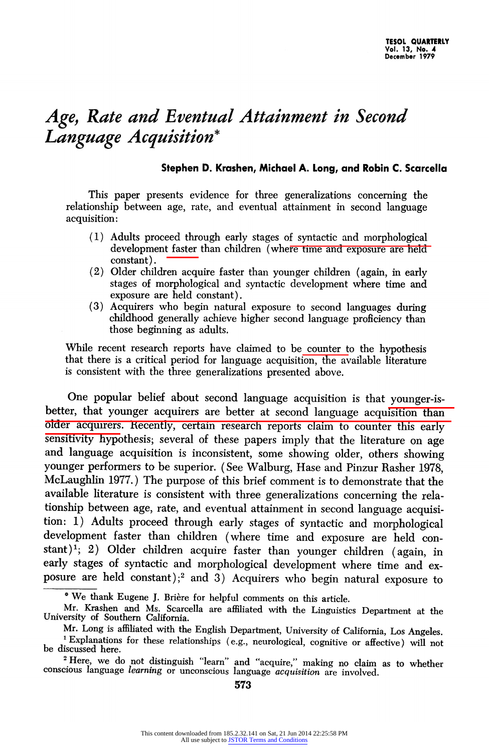## Age, Rate and Eventual Attainment in Second Language Acquisition\*

#### Stephen D. Krashen, Michael A. Long, and Robin C. Scarcella

This paper presents evidence for three generalizations concerning the relationship between age, rate, and eventual attainment in second language acquisition:

- (1) Adults proceed through early stages of syntactic and morphological development faster than children (where time and exposure are held constant).
- (2) Older children acquire faster than younger children (again, in early stages of morphological and syntactic development where time and exposure are held constant).
- (3) Acquirers who begin natural exposure to second languages during childhood generally achieve higher second language proficiency than those beginning as adults.

While recent research reports have claimed to be counter to the hypothesis that there is a critical period for language acquisition, the available literature is consistent with the three generalizations presented above.

One popular belief about second language acquisition is that younger-isbetter, that younger acquirers are better at second language acquisition than older acquirers. Recently, certain research reports claim to counter this early sensitivity hypothesis; several of these papers imply that the literature on age and language acquisition is inconsistent, some showing older, others showing younger performers to be superior. (See Walburg, Hase and Pinzur Rasher 1978, McLaughlin 1977.) The purpose of this brief comment is to demonstrate that the available literature is consistent with three generalizations concerning the relationship between age, rate, and eventual attainment in second language acquisition: 1) Adults proceed through early stages of syntactic and morphological development faster than children (where time and exposure are held constant)<sup>1</sup>; 2) Older children acquire faster than younger children (again, in early stages of syntactic and morphological development where time and exposure are held constant);<sup>2</sup> and 3) Acquirers who begin natural exposure to

<sup>\*</sup> We thank Eugene J. Brière for helpful comments on this article.

Mr. Krashen and Ms. Scarcella are affiliated with the Linguistics Department at the University of Southern California.

Mr. Long is affiliated with the English Department, University of California, Los Angeles.

<sup>1</sup>Explanations for these relationships (e.g., neurological, cognitive or affective) will not be discussed here.

<sup>&</sup>lt;sup>2</sup> Here, we do not distinguish "learn" and "acquire," making no claim as to whether conscious language *learning* or unconscious language *acquisition* are involved.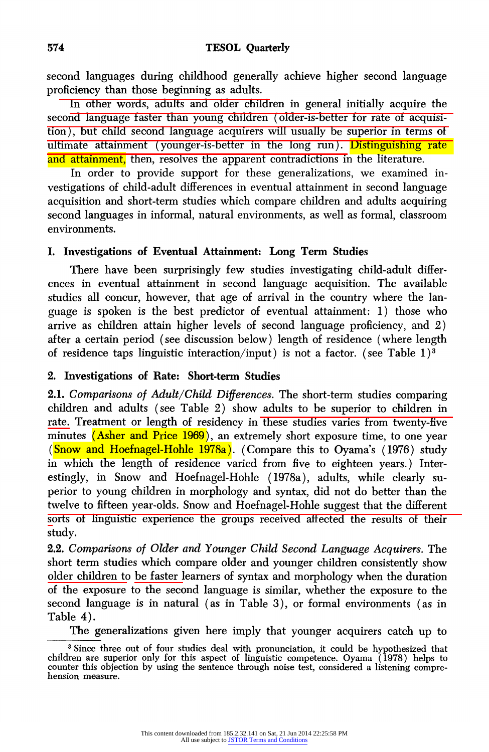second languages during childhood generally achieve higher second language proficiency than those beginning as adults.

In other words, adults and older children in general initially acquire the second language faster than young children (older-is-better for rate of acquisition), but child second language acquirers will usually be superior in terms of ultimate attainment (younger-is-better in the long run). Distinguishing rate and attainment, then, resolves the apparent contradictions in the literature.

In order to provide support for these generalizations, we examined investigations of child-adult differences in eventual attainment in second language acquisition and short-term studies which compare children and adults acquiring second languages in informal, natural environments, as well as formal, classroom environments.

#### I. Investigations of Eventual Attainment: Long Term Studies

There have been surprisingly few studies investigating child-adult differences in eventual attainment in second language acquisition. The available studies all concur, however, that age of arrival in the country where the language is spoken is the best predictor of eventual attainment: 1) those who arrive as children attain higher levels of second language proficiency, and 2) after a certain period (see discussion below) length of residence (where length of residence taps linguistic interaction/input) is not a factor. (see Table 1)<sup>3</sup>

#### 2. Investigations of Rate: Short-term Studies

2.1. Comparisons of Adult/Child Differences. The short-term studies comparing children and adults (see Table 2) show adults to be superior to children in rate. Treatment or length of residency in these studies varies from twenty-five minutes (Asher and Price 1969), an extremely short exposure time, to one year (Snow and Hoefnagel-Hohle 1978a). (Compare this to Oyama's (1976) study in which the length of residence varied from five to eighteen years.) Interestingly, in Snow and Hoefnagel-Hohle (1978a), adults, while clearly superior to young children in morphology and syntax, did not do better than the twelve to fifteen year-olds. Snow and Hoefnagel-Hohle suggest that the different sorts of linguistic experience the groups received affected the results of their study.

2.2. Comparisons of Older and Younger Child Second Language Acquirers. The short term studies which compare older and younger children consistently show older children to be faster learners of syntax and morphology when the duration of the exposure to the second language is similar, whether the exposure to the second language is in natural (as in Table 3), or formal environments (as in Table 4).

The generalizations given here imply that younger acquirers catch up to

<sup>&</sup>lt;sup>3</sup> Since three out of four studies deal with pronunciation, it could be hypothesized that children are superior only for this aspect of linguistic competence. Oyama (1978) helps to counter this objection by using the sentence through noise test, considered a listening comprehension measure.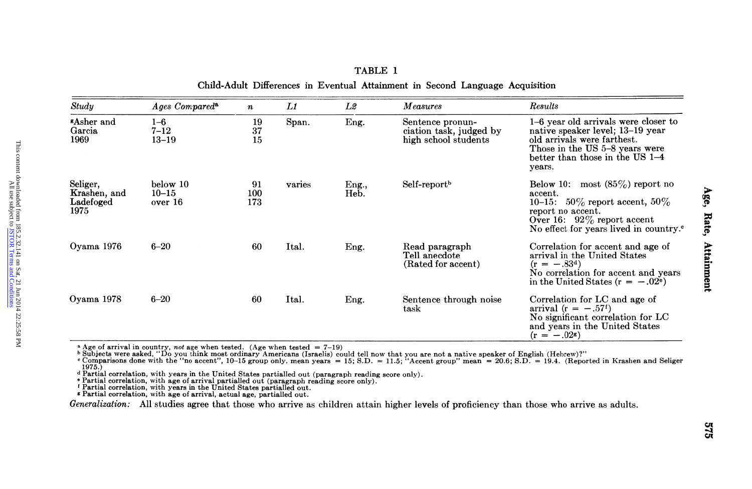| <b>"Asher and</b><br>$1-6$ year old arrivals were closer to<br>$1 - 6$<br>19<br>Span.<br>Eng.<br>Sentence pronun-<br>Garcia<br>$7 - 12$<br>37<br>ciation task, judged by<br>native speaker level; 13-19 year<br>1969<br>$13 - 19$<br>high school students<br>old arrivals were farthest.<br>15<br>Those in the US 5-8 years were<br>better than those in the US 1-4<br>years.<br>below 10<br>91<br>Self-report <sup>b</sup><br>Below 10: most $(85\%)$ report no<br>varies<br>Eng.,<br>$10 - 15$<br>Heb.<br>100<br>accent.<br>173<br>10-15: 50% report accent, 50%<br>over 16<br>1975<br>report no accent.<br>Over 16: $92\%$ report accent<br>$6 - 20$<br>Ital.<br>Read paragraph<br>60<br>Correlation for accent and age of<br>Eng.<br>Tell anecdote<br>arrival in the United States<br>(Rated for accent)<br>$(r = -.83^d)$<br>in the United States ( $r = -.02^e$ )<br>$6 - 20$<br>60<br>Ital.<br>Sentence through noise<br>Correlation for LC and age of<br>Eng.<br>arrival ( $r = -.57$ <sup>f</sup> )<br>task<br>No significant correlation for LC<br>and years in the United States<br>$(r = -.02)$<br><sup>a</sup> Age of arrival in country, <i>not</i> age when tested. (Age when tested = $7-19$ )<br>1975.)<br>d Partial correlation, with years in the United States partialled out (paragraph reading score only).<br><sup>e</sup> Partial correlation, with age of arrival partialled out (paragraph reading score only).<br>Partial correlation, with years in the United States partialled out.<br>* Partial correlation, with age of arrival, actual age, partialled out. | Seliger.<br>Krashen, and<br>Ladefoged<br>Generalization: All studies agree that those who arrive as children attain higher levels of proficiency than those who arrive as adults. |  | Study | Ages Compared <sup>a</sup> | $\pmb{n}$ | L1 | L2 | Measures | Results                                            |
|----------------------------------------------------------------------------------------------------------------------------------------------------------------------------------------------------------------------------------------------------------------------------------------------------------------------------------------------------------------------------------------------------------------------------------------------------------------------------------------------------------------------------------------------------------------------------------------------------------------------------------------------------------------------------------------------------------------------------------------------------------------------------------------------------------------------------------------------------------------------------------------------------------------------------------------------------------------------------------------------------------------------------------------------------------------------------------------------------------------------------------------------------------------------------------------------------------------------------------------------------------------------------------------------------------------------------------------------------------------------------------------------------------------------------------------------------------------------------------------------------------------------------------------------------------------------------------------------|-----------------------------------------------------------------------------------------------------------------------------------------------------------------------------------|--|-------|----------------------------|-----------|----|----|----------|----------------------------------------------------|
|                                                                                                                                                                                                                                                                                                                                                                                                                                                                                                                                                                                                                                                                                                                                                                                                                                                                                                                                                                                                                                                                                                                                                                                                                                                                                                                                                                                                                                                                                                                                                                                              | Oyama 1976<br>Oyama 1978                                                                                                                                                          |  |       |                            |           |    |    |          |                                                    |
| b Subjects were asked, "Do you think most ordinary Americans (Israelis) could tell now that you are not a native speaker of English (Hebrew)?"<br>"Comparisons done with the "no accent", 10-15 group only, mean years = 15; S.D                                                                                                                                                                                                                                                                                                                                                                                                                                                                                                                                                                                                                                                                                                                                                                                                                                                                                                                                                                                                                                                                                                                                                                                                                                                                                                                                                             |                                                                                                                                                                                   |  |       |                            |           |    |    |          | No effect for years lived in country. <sup>o</sup> |
|                                                                                                                                                                                                                                                                                                                                                                                                                                                                                                                                                                                                                                                                                                                                                                                                                                                                                                                                                                                                                                                                                                                                                                                                                                                                                                                                                                                                                                                                                                                                                                                              |                                                                                                                                                                                   |  |       |                            |           |    |    |          | No correlation for accent and years                |
|                                                                                                                                                                                                                                                                                                                                                                                                                                                                                                                                                                                                                                                                                                                                                                                                                                                                                                                                                                                                                                                                                                                                                                                                                                                                                                                                                                                                                                                                                                                                                                                              |                                                                                                                                                                                   |  |       |                            |           |    |    |          |                                                    |
|                                                                                                                                                                                                                                                                                                                                                                                                                                                                                                                                                                                                                                                                                                                                                                                                                                                                                                                                                                                                                                                                                                                                                                                                                                                                                                                                                                                                                                                                                                                                                                                              |                                                                                                                                                                                   |  |       |                            |           |    |    |          |                                                    |

#### TABLE 1 Child-Adult Differences in Eventual Attainment in Second Language Acquisition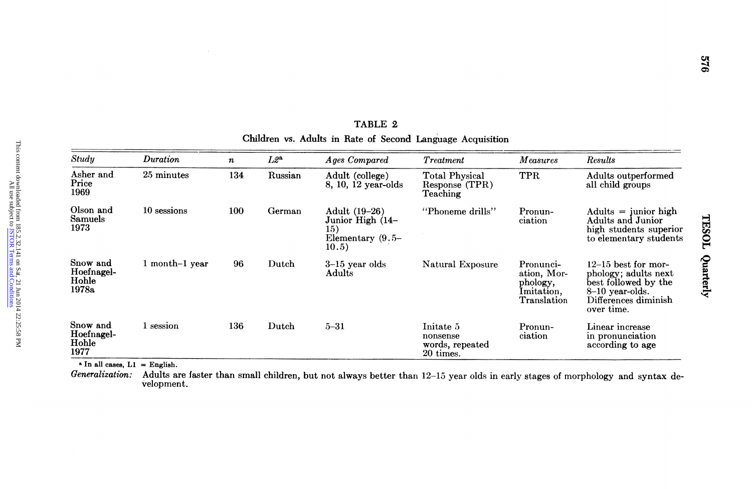| Study<br>Duration<br>$L2^a$<br><b>Ages Compared</b><br><b>Measures</b><br>Results<br><b>Treatment</b><br>$\pmb n$<br>Asher and<br>25 minutes<br>134<br>TPR<br>Russian<br>Adult (college)<br><b>Total Physical</b><br>Price<br>8, 10, 12 year-olds<br>all child groups<br>Response (TPR)<br>1969<br>Teaching<br>Olson and<br>10 sessions<br>100<br>German<br>Adult (19-26)<br>"Phoneme drills"<br>Pronun-<br>Samuels<br>Junior High (14-<br>ciation<br>1973<br>15)<br>Elementary $(9.5-$<br>10.5)<br>Snow and<br>1 month-1 year<br>96<br>Dutch<br>3-15 year olds<br>Natural Exposure<br>Pronunci-<br>Hoefnagel-<br>Adults<br>ation, Mor-<br>Hohle<br>phology,<br>1978a<br>Imitation,<br>8-10 year-olds.<br>Translation<br>over time.<br>Snow and<br>1 session<br>136<br>Dutch<br>$5 - 31$<br>Initate 5<br>Linear increase<br>Pronun-<br>Hoefnagel-<br>nonsense<br>ciation<br>Hohle<br>words, repeated<br>1977<br>20 times.<br>$\Delta$ In all cases, L1 = English.<br>Generalization:<br>velopment. | Adults and Junior<br>in pronunciation<br>according to age<br>Adults are faster than small children, but not always better than 12-15 year olds in early stages of morphology and syntax de- |  |  | TABLE 2<br>Children vs. Adults in Rate of Second Language Acquisition |  |                                                                                               |
|----------------------------------------------------------------------------------------------------------------------------------------------------------------------------------------------------------------------------------------------------------------------------------------------------------------------------------------------------------------------------------------------------------------------------------------------------------------------------------------------------------------------------------------------------------------------------------------------------------------------------------------------------------------------------------------------------------------------------------------------------------------------------------------------------------------------------------------------------------------------------------------------------------------------------------------------------------------------------------------------------|---------------------------------------------------------------------------------------------------------------------------------------------------------------------------------------------|--|--|-----------------------------------------------------------------------|--|-----------------------------------------------------------------------------------------------|
|                                                                                                                                                                                                                                                                                                                                                                                                                                                                                                                                                                                                                                                                                                                                                                                                                                                                                                                                                                                                    |                                                                                                                                                                                             |  |  |                                                                       |  |                                                                                               |
|                                                                                                                                                                                                                                                                                                                                                                                                                                                                                                                                                                                                                                                                                                                                                                                                                                                                                                                                                                                                    |                                                                                                                                                                                             |  |  |                                                                       |  | Adults outperformed                                                                           |
|                                                                                                                                                                                                                                                                                                                                                                                                                                                                                                                                                                                                                                                                                                                                                                                                                                                                                                                                                                                                    |                                                                                                                                                                                             |  |  |                                                                       |  | $Adults = junior high$<br>high students superior<br>to elementary students                    |
|                                                                                                                                                                                                                                                                                                                                                                                                                                                                                                                                                                                                                                                                                                                                                                                                                                                                                                                                                                                                    |                                                                                                                                                                                             |  |  |                                                                       |  | $12-15$ best for mor-<br>phology; adults next<br>best followed by the<br>Differences diminish |
|                                                                                                                                                                                                                                                                                                                                                                                                                                                                                                                                                                                                                                                                                                                                                                                                                                                                                                                                                                                                    |                                                                                                                                                                                             |  |  |                                                                       |  |                                                                                               |
|                                                                                                                                                                                                                                                                                                                                                                                                                                                                                                                                                                                                                                                                                                                                                                                                                                                                                                                                                                                                    |                                                                                                                                                                                             |  |  |                                                                       |  |                                                                                               |

E<br>Se TABLE 2 Children vs. Adults in Rate of Second Language Acquisition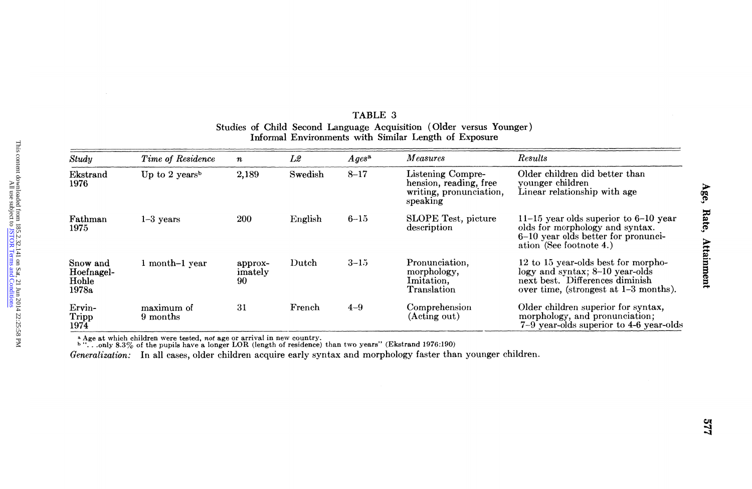| Results<br>Study<br>L2<br><i>Measures</i><br>Time of Residence<br>$A ges^a$<br>$\boldsymbol{n}$<br>Older children did better than<br>Swedish<br>Listening Compre-<br>Up to 2 years <sup>b</sup><br>2,189<br>$8 - 17$<br>Ekstrand<br>hension, reading, free<br>younger children<br>1976<br>Linear relationship with age<br>writing, pronunciation,<br>speaking<br>200<br><b>SLOPE</b> Test, picture<br>$11-15$ year olds superior to $6-10$ year<br>English<br>$6 - 15$<br>$1-3$ years<br>olds for morphology and syntax.<br>description<br>1975<br>6-10 year olds better for pronunci-<br>ation (See footnote 4.)<br>Pronunciation,<br>12 to 15 year-olds best for morpho-<br>Dutch<br>$3 - 15$<br>Snow and<br>1 month-1 year<br>approx-<br>logy and syntax; 8-10 year-olds<br>morphology,<br>Hoefnagel-<br>imately<br>next best. Differences diminish<br>Imitation,<br>Hoble<br>90<br>Translation<br>over time, (strongest at 1–3 months).<br>1978a<br>Comprehension<br>Older children superior for syntax,<br>maximum of<br>31<br>French<br>$4 - 9$<br>Ervin-<br>morphology, and pronunciation;<br>(Acting out)<br>Tripp<br>9 months<br>$7-9$ vear-olds superior to 4-6 year-olds<br>1974<br><sup>a</sup> Age at which children were tested, not age or arrival in new country.<br><sup>b</sup> "only 8.3% of the pupils have a longer LOR (length of residence) than two years" (Ekstrand 1976:190)<br>Generalization: In all cases, older children acquire early syntax and morphology faster than younger children. | Fathman |  |  | TABLE 3 | Studies of Child Second Language Acquisition (Older versus Younger)<br>Informal Environments with Similar Length of Exposure |  |
|--------------------------------------------------------------------------------------------------------------------------------------------------------------------------------------------------------------------------------------------------------------------------------------------------------------------------------------------------------------------------------------------------------------------------------------------------------------------------------------------------------------------------------------------------------------------------------------------------------------------------------------------------------------------------------------------------------------------------------------------------------------------------------------------------------------------------------------------------------------------------------------------------------------------------------------------------------------------------------------------------------------------------------------------------------------------------------------------------------------------------------------------------------------------------------------------------------------------------------------------------------------------------------------------------------------------------------------------------------------------------------------------------------------------------------------------------------------------------------------------------------------------------|---------|--|--|---------|------------------------------------------------------------------------------------------------------------------------------|--|
|                                                                                                                                                                                                                                                                                                                                                                                                                                                                                                                                                                                                                                                                                                                                                                                                                                                                                                                                                                                                                                                                                                                                                                                                                                                                                                                                                                                                                                                                                                                          |         |  |  |         |                                                                                                                              |  |
|                                                                                                                                                                                                                                                                                                                                                                                                                                                                                                                                                                                                                                                                                                                                                                                                                                                                                                                                                                                                                                                                                                                                                                                                                                                                                                                                                                                                                                                                                                                          |         |  |  |         |                                                                                                                              |  |
|                                                                                                                                                                                                                                                                                                                                                                                                                                                                                                                                                                                                                                                                                                                                                                                                                                                                                                                                                                                                                                                                                                                                                                                                                                                                                                                                                                                                                                                                                                                          |         |  |  |         |                                                                                                                              |  |
|                                                                                                                                                                                                                                                                                                                                                                                                                                                                                                                                                                                                                                                                                                                                                                                                                                                                                                                                                                                                                                                                                                                                                                                                                                                                                                                                                                                                                                                                                                                          |         |  |  |         |                                                                                                                              |  |
|                                                                                                                                                                                                                                                                                                                                                                                                                                                                                                                                                                                                                                                                                                                                                                                                                                                                                                                                                                                                                                                                                                                                                                                                                                                                                                                                                                                                                                                                                                                          |         |  |  |         |                                                                                                                              |  |
|                                                                                                                                                                                                                                                                                                                                                                                                                                                                                                                                                                                                                                                                                                                                                                                                                                                                                                                                                                                                                                                                                                                                                                                                                                                                                                                                                                                                                                                                                                                          |         |  |  |         |                                                                                                                              |  |

## TABLE 3 Studies of Child Second Language Acquisition (Older versus Younger)<br>Informal Environments with Similar Length of Exposure

577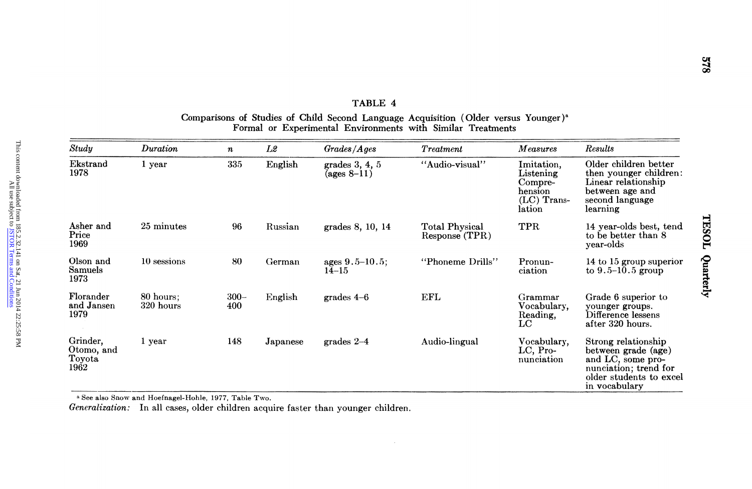| Formal or Experimental Environments with Similar Treatments<br>Study<br>Duration<br>Results<br>Grades/Ages<br><b>Measures</b><br>L2<br>Treatment<br>$\boldsymbol{n}$<br>335<br>"Audio-visual"<br>Older children better<br>Ekstrand<br>English<br>1 year<br>grades 3, 4, 5<br>Imitation,<br>1978<br>$(ages 8-11)$<br>Listening<br>Linear relationship<br>Compre-<br>hension<br>between age and<br>$(LC)$ Trans-<br>second language<br>lation<br>learning<br>Asher and<br>25 minutes<br>TPR<br>96<br>Russian<br>grades 8, 10, 14<br>Total Physical<br>Price<br>to be better than 8<br>Response (TPR)<br>1969<br>year-olds<br>Olson and<br>10 sessions<br>80<br>"Phoneme Drills"<br>German<br>ages $9.5 - 10.5$ ;<br>Pronun-<br>Samuels<br>$14 - 15$<br>ciation<br>to $9.5 - 10.5$ group<br>1973<br>Florander<br>80 hours;<br>300–<br>English<br>EFL<br>Grade 6 superior to<br>$grades$ 4-6<br>Grammar<br>and Jansen<br>320 hours<br>400<br>Vocabulary,<br>younger groups.<br>1979<br>Difference lessens<br>Reading,<br>after 320 hours.<br>LC<br>Grinder,<br>148<br>Audio-lingual<br>1 year<br>Japanese<br>grades $2-4$<br>Vocabulary,<br>Strong relationship<br>Otomo, and<br>LC, Pro-<br>between grade (age)<br>Toyota<br>nunciation<br>and LC, some pro-<br>1962<br>nunciation; trend for<br>in vocabulary<br>a See also Snow and Hoefnagel-Hohle, 1977, Table Two.<br>Generalization: In all cases, older children acquire faster than younger children. | then younger children:<br>14 year-olds best, tend<br>14 to 15 group superior<br>older students to excel |  |  | TABLE 4 | Comparisons of Studies of Child Second Language Acquisition (Older versus Younger) <sup>a</sup> |  |
|------------------------------------------------------------------------------------------------------------------------------------------------------------------------------------------------------------------------------------------------------------------------------------------------------------------------------------------------------------------------------------------------------------------------------------------------------------------------------------------------------------------------------------------------------------------------------------------------------------------------------------------------------------------------------------------------------------------------------------------------------------------------------------------------------------------------------------------------------------------------------------------------------------------------------------------------------------------------------------------------------------------------------------------------------------------------------------------------------------------------------------------------------------------------------------------------------------------------------------------------------------------------------------------------------------------------------------------------------------------------------------------------------------------------------------------------------------|---------------------------------------------------------------------------------------------------------|--|--|---------|-------------------------------------------------------------------------------------------------|--|
|                                                                                                                                                                                                                                                                                                                                                                                                                                                                                                                                                                                                                                                                                                                                                                                                                                                                                                                                                                                                                                                                                                                                                                                                                                                                                                                                                                                                                                                            |                                                                                                         |  |  |         |                                                                                                 |  |
|                                                                                                                                                                                                                                                                                                                                                                                                                                                                                                                                                                                                                                                                                                                                                                                                                                                                                                                                                                                                                                                                                                                                                                                                                                                                                                                                                                                                                                                            |                                                                                                         |  |  |         |                                                                                                 |  |
|                                                                                                                                                                                                                                                                                                                                                                                                                                                                                                                                                                                                                                                                                                                                                                                                                                                                                                                                                                                                                                                                                                                                                                                                                                                                                                                                                                                                                                                            |                                                                                                         |  |  |         |                                                                                                 |  |
|                                                                                                                                                                                                                                                                                                                                                                                                                                                                                                                                                                                                                                                                                                                                                                                                                                                                                                                                                                                                                                                                                                                                                                                                                                                                                                                                                                                                                                                            |                                                                                                         |  |  |         |                                                                                                 |  |
|                                                                                                                                                                                                                                                                                                                                                                                                                                                                                                                                                                                                                                                                                                                                                                                                                                                                                                                                                                                                                                                                                                                                                                                                                                                                                                                                                                                                                                                            |                                                                                                         |  |  |         |                                                                                                 |  |
|                                                                                                                                                                                                                                                                                                                                                                                                                                                                                                                                                                                                                                                                                                                                                                                                                                                                                                                                                                                                                                                                                                                                                                                                                                                                                                                                                                                                                                                            |                                                                                                         |  |  |         |                                                                                                 |  |
|                                                                                                                                                                                                                                                                                                                                                                                                                                                                                                                                                                                                                                                                                                                                                                                                                                                                                                                                                                                                                                                                                                                                                                                                                                                                                                                                                                                                                                                            |                                                                                                         |  |  |         |                                                                                                 |  |
|                                                                                                                                                                                                                                                                                                                                                                                                                                                                                                                                                                                                                                                                                                                                                                                                                                                                                                                                                                                                                                                                                                                                                                                                                                                                                                                                                                                                                                                            |                                                                                                         |  |  |         |                                                                                                 |  |

| TABLE 4                                                                                         |  |
|-------------------------------------------------------------------------------------------------|--|
| Comparisons of Studies of Child Second Language Acquisition (Older versus Younger) <sup>a</sup> |  |
| Formal or Experimental Environments with Similar Treatments                                     |  |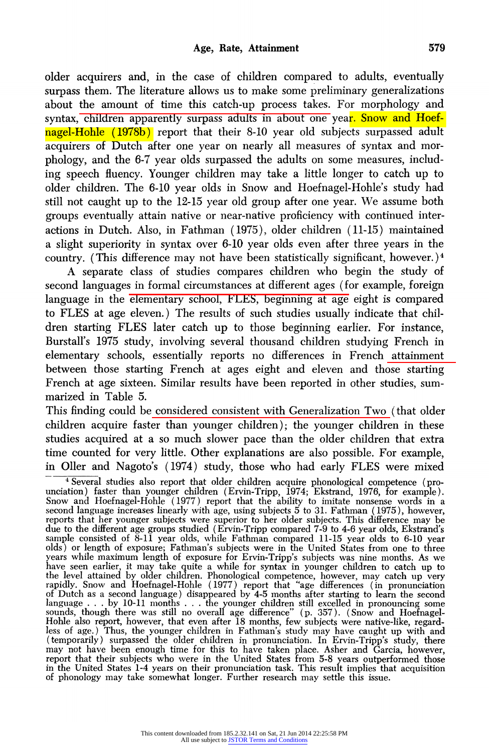older acquirers and, in the case of children compared to adults, eventually surpass them. The literature allows us to make some preliminary generalizations about the amount of time this catch-up process takes. For morphology and syntax, children apparently surpass adults in about one year. Snow and Hoefnagel-Hohle (1978b) report that their 8-10 year old subjects surpassed adult acquirers of Dutch after one year on nearly all measures of syntax and morphology, and the 6-7 year olds surpassed the adults on some measures, including speech fluency. Younger children may take a little longer to catch up to older children. The 6-10 year olds in Snow and Hoefnagel-Hohle's study had still not caught up to the 12-15 year old group after one year. We assume both groups eventually attain native or near-native proficiency with continued interactions in Dutch. Also, in Fathman (1975), older children (11-15) maintained a slight superiority in syntax over 6-10 year olds even after three years in the country. (This difference may not have been statistically significant, however.)<sup>4</sup>

A separate class of studies compares children who begin the study of second languages in formal circumstances at different ages (for example, foreign language in the elementary school, FLES, beginning at age eight is compared to FLES at age eleven.) The results of such studies usually indicate that children starting FLES later catch up to those beginning earlier. For instance, Burstall's 1975 study, involving several thousand children studying French in elementary schools, essentially reports no differences in French attainment between those starting French at ages eight and eleven and those starting French at age sixteen. Similar results have been reported in other studies, summarized in Table 5.

This finding could be considered consistent with Generalization Two (that older children acquire faster than younger children); the younger children in these studies acquired at a so much slower pace than the older children that extra time counted for very little. Other explanations are also possible. For example, in Oller and Nagoto's (1974) study, those who had early FLES were mixed

<sup>&</sup>lt;sup>4</sup> Several studies also report that older children acquire phonological competence (prounciation) faster than younger children (Ervin-Tripp, 1974; Ekstrand, 1976, for example). Snow and Hoefnagel-Hohle (1977) report that the ability to imitate nonsense words in a second language increases linearly with age, using subjects 5 to 31. Fathman (1975), however, reports that her younger subjects were superior to her older subjects. This difference may be due to the different age groups studied (Ervin-Tripp compared 7-9 to 4-6 year olds, Ekstrand's sample consisted of 8-11 year olds, while Fathman compared 11-15 year olds to 6-10 year olds) or length of exposure; Fathman's subjects were in the United States from one to three years while maximum length of exposure for Ervin-Tripp's subjects was nine months. As we have seen earlier, it may take quite a while for syntax in younger children to catch up to the level attained by older children. Phonological competence, however, may catch up very rapidly. Snow and Hoefnagel-Hohle (1977) report that "age differences (in pronunciation of Dutch as a second language) disappeared by 4-5 months after starting to learn the second language . . by 10-11 months . .. the younger children still excelled in pronouncing some sounds, though there was still no overall age difference" (p. 357). (Snow and Hoefnagel-Hohle also report, however, that even after 18 months, few subjects were native-like, regardless of age.) Thus, the younger children in Fathman's study may have caught up with and (temporarily) surpassed the older children in pronunciation. In Ervin-Tripp's study, there may not have been enough time for this to have taken place. Asher and Garcia, however, report that their subjects who were in the United States from 5-8 years outperformed those in the United States 1-4 years on their pronunciation task. This result implies that acquisition of phonology may take somewhat longer. Further research may settle this issue.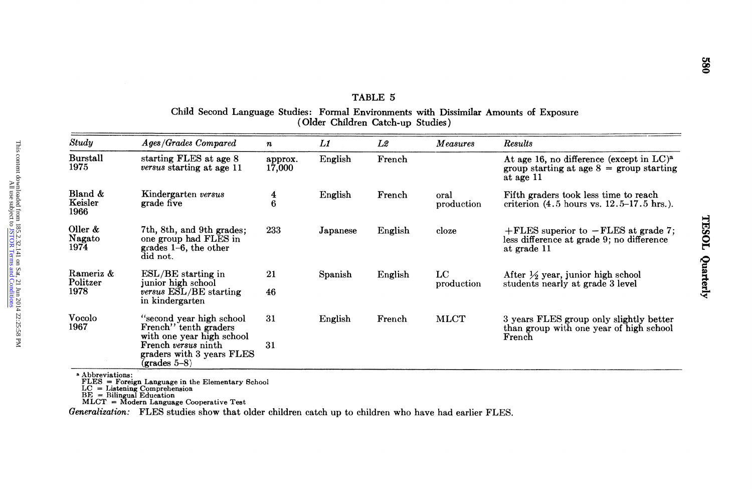| Study<br>Ages/Grades Compared<br>Results<br>L1<br>L2<br><i>Measures</i><br>$\boldsymbol{n}$<br><b>Burstall</b><br>starting FLES at age 8<br>English<br>approx.<br>French<br>1975<br><i>versus</i> starting at age 11<br>17,000<br>at age 11<br>Bland &<br>Kindergarten versus<br>$\overline{\mathbf{4}}$<br>English<br>French<br>oral<br>Fifth graders took less time to reach<br>Keisler<br>grade five<br>6<br>production<br>1966<br>Oller $\&$<br>7th, 8th, and 9th grades;<br>233<br>English<br>Japanese<br>cloze<br>Nagato<br>one group had FLES in<br>less difference at grade 9; no difference<br>1974<br>grades 1-6, the other<br>at grade 11<br>did not.<br>Rameriz &<br>$_{\rm LC}$<br>21<br>$ESL/BE$ starting in<br>Spanish<br>English<br>After $\frac{1}{2}$ year, junior high school<br>Politzer<br>junior high school<br>students nearly at grade 3 level<br>production<br>1978<br>versus ESL/BE starting<br>46<br>in kindergarten<br><b>Vocolo</b><br>"second year high school"<br>31<br>English<br>MLCT<br>French<br>1967<br>French" tenth graders<br>with one year high school<br>French<br>French versus ninth<br>31<br>graders with 3 years FLES<br>$(grades 5-8)$<br><sup>a</sup> Abbreviations:<br>FLES = Foreign Language in the Elementary School<br>$LC = Listening$ Comprehension<br>$BE = Bilingual Education$<br>$MLCT = Modern Language Cooperative Test$<br>Generalization: FLES studies show that older children catch up to children who have had earlier FLES. | Child Second Language Studies: Formal Environments with Dissimilar Amounts of Exposure | (Older Children Catch-up Studies) | TABLE 5 |                                                                                                    |
|-----------------------------------------------------------------------------------------------------------------------------------------------------------------------------------------------------------------------------------------------------------------------------------------------------------------------------------------------------------------------------------------------------------------------------------------------------------------------------------------------------------------------------------------------------------------------------------------------------------------------------------------------------------------------------------------------------------------------------------------------------------------------------------------------------------------------------------------------------------------------------------------------------------------------------------------------------------------------------------------------------------------------------------------------------------------------------------------------------------------------------------------------------------------------------------------------------------------------------------------------------------------------------------------------------------------------------------------------------------------------------------------------------------------------------------------------------------------------------------------------|----------------------------------------------------------------------------------------|-----------------------------------|---------|----------------------------------------------------------------------------------------------------|
|                                                                                                                                                                                                                                                                                                                                                                                                                                                                                                                                                                                                                                                                                                                                                                                                                                                                                                                                                                                                                                                                                                                                                                                                                                                                                                                                                                                                                                                                                               |                                                                                        |                                   |         |                                                                                                    |
|                                                                                                                                                                                                                                                                                                                                                                                                                                                                                                                                                                                                                                                                                                                                                                                                                                                                                                                                                                                                                                                                                                                                                                                                                                                                                                                                                                                                                                                                                               |                                                                                        |                                   |         | At age 16, no difference (except in LC) <sup>a</sup><br>group starting at age $8 =$ group starting |
|                                                                                                                                                                                                                                                                                                                                                                                                                                                                                                                                                                                                                                                                                                                                                                                                                                                                                                                                                                                                                                                                                                                                                                                                                                                                                                                                                                                                                                                                                               |                                                                                        |                                   |         | criterion $(4.5 \text{ hours vs. } 12.5-17.5 \text{ hrs.})$ .                                      |
|                                                                                                                                                                                                                                                                                                                                                                                                                                                                                                                                                                                                                                                                                                                                                                                                                                                                                                                                                                                                                                                                                                                                                                                                                                                                                                                                                                                                                                                                                               |                                                                                        |                                   |         | $+$ FLES superior to $-$ FLES at grade 7;                                                          |
|                                                                                                                                                                                                                                                                                                                                                                                                                                                                                                                                                                                                                                                                                                                                                                                                                                                                                                                                                                                                                                                                                                                                                                                                                                                                                                                                                                                                                                                                                               |                                                                                        |                                   |         |                                                                                                    |
|                                                                                                                                                                                                                                                                                                                                                                                                                                                                                                                                                                                                                                                                                                                                                                                                                                                                                                                                                                                                                                                                                                                                                                                                                                                                                                                                                                                                                                                                                               |                                                                                        |                                   |         | 3 years FLES group only slightly better<br>than group with one year of high school                 |
|                                                                                                                                                                                                                                                                                                                                                                                                                                                                                                                                                                                                                                                                                                                                                                                                                                                                                                                                                                                                                                                                                                                                                                                                                                                                                                                                                                                                                                                                                               |                                                                                        |                                   |         |                                                                                                    |
|                                                                                                                                                                                                                                                                                                                                                                                                                                                                                                                                                                                                                                                                                                                                                                                                                                                                                                                                                                                                                                                                                                                                                                                                                                                                                                                                                                                                                                                                                               |                                                                                        |                                   |         |                                                                                                    |
|                                                                                                                                                                                                                                                                                                                                                                                                                                                                                                                                                                                                                                                                                                                                                                                                                                                                                                                                                                                                                                                                                                                                                                                                                                                                                                                                                                                                                                                                                               |                                                                                        |                                   |         |                                                                                                    |

# $T_A$   $E_i$ <br>dre t<br>Li TABLE 5 Child Second Language Studies: Formal Environments with Dissimilar Amounts of Exposure (Older Children Catch-up Studies)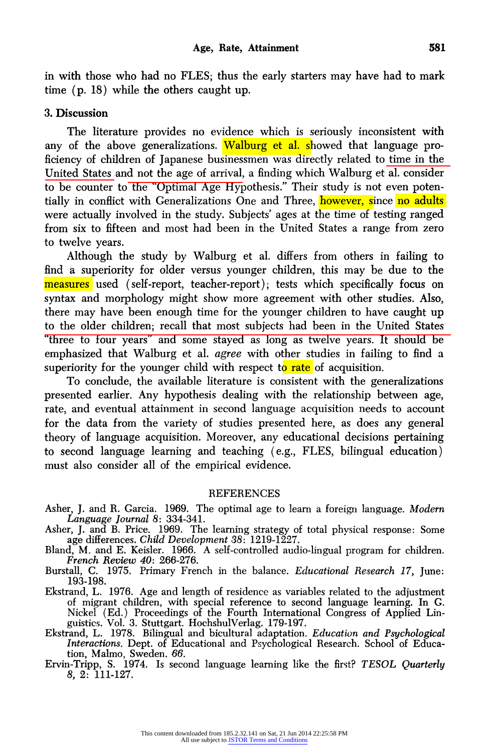in with those who had no FLES; thus the early starters may have had to mark time (p. 18) while the others caught up.

#### 3. Discussion

The literature provides no evidence which is seriously inconsistent with any of the above generalizations. Walburg et al. showed that language proficiency of children of Japanese businessmen was directly related to time in the United States and not the age of arrival, a finding which Walburg et al. consider to be counter to the "Optimal Age Hypothesis." Their study is not even potentially in conflict with Generalizations One and Three, however, since no adults were actually involved in the study. Subjects' ages at the time of testing ranged from six to fifteen and most had been in the United States a range from zero to twelve years.

Although the study by Walburg et al. differs from others in failing to find a superiority for older versus younger children, this may be due to the measures used (self-report, teacher-report); tests which specifically focus on syntax and morphology might show more agreement with other studies. Also, there may have been enough time for the younger children to have caught up to the older children; recall that most subjects had been in the United States "three to four years" and some stayed as long as twelve years. It should be emphasized that Walburg et al. agree with other studies in failing to find a superiority for the younger child with respect to rate of acquisition.

To conclude, the available literature is consistent with the generalizations presented earlier. Any hypothesis dealing with the relationship between age, rate, and eventual attainment in second language acquisition needs to account for the data from the variety of studies presented here, as does any general theory of language acquisition. Moreover, any educational decisions pertaining to second language learning and teaching (e.g., FLES, bilingual education) must also consider all of the empirical evidence.

#### **REFERENCES**

- Asher, J. and R. Garcia. 1969. The optimal age to learn a foreign language. Modern Language Journal 8: 334-341.
- Asher, J. and B. Price. 1969. The learning strategy of total physical response: Some age differences. Child Development 38: 1219-1227.
- Bland, M. and E. Keisler. 1966. A self-controlled audio-lingual program for children. French Review 40: 266-276.
- Burstall, C. 1975. Primary French in the balance. Educational Research 17, June: 193-198.
- Ekstrand, L. 1976. Age and length of residence as variables related to the adjustment of migrant children, with special reference to second language learning. In G. Nickel (Ed.) Proceedings of the Fourth International Congress of Applied Linguistics. Vol. 3. Stuttgart. HochshulVerlag. 179-197.
- Ekstrand, L. 1978. Bilingual and bicultural adaptation. Education and Psychological Interactions. Dept. of Educational and Psychological Research. School of Education, Malmo, Sweden. 66.
- Ervin-Tripp, S. 1974. Is second language learning like the first? TESOL Quarterly 8, 2: 111-127.